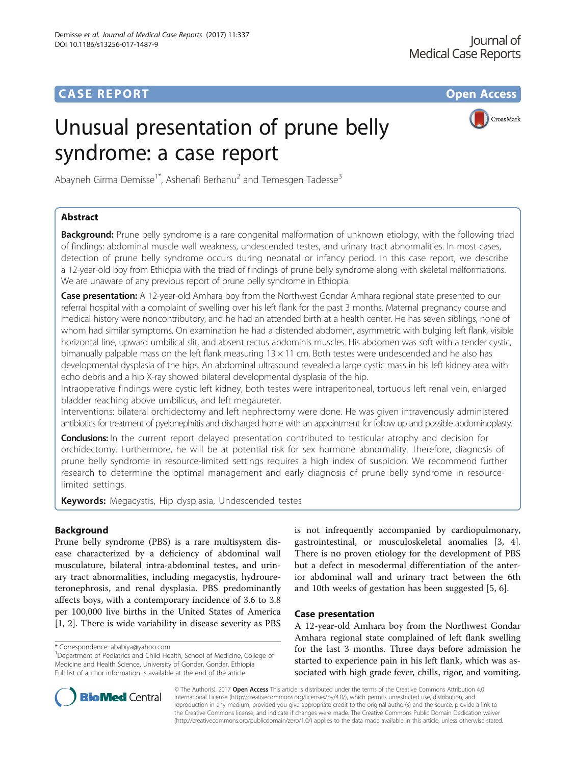# **CASE REPORT CASE REPORT CASE REPORT**

# Unusual presentation of prune belly syndrome: a case report



Abayneh Girma Demisse<sup>1\*</sup>, Ashenafi Berhanu<sup>2</sup> and Temesgen Tadesse<sup>3</sup>

# Abstract

**Background:** Prune belly syndrome is a rare congenital malformation of unknown etiology, with the following triad of findings: abdominal muscle wall weakness, undescended testes, and urinary tract abnormalities. In most cases, detection of prune belly syndrome occurs during neonatal or infancy period. In this case report, we describe a 12-year-old boy from Ethiopia with the triad of findings of prune belly syndrome along with skeletal malformations. We are unaware of any previous report of prune belly syndrome in Ethiopia.

Case presentation: A 12-year-old Amhara boy from the Northwest Gondar Amhara regional state presented to our referral hospital with a complaint of swelling over his left flank for the past 3 months. Maternal pregnancy course and medical history were noncontributory, and he had an attended birth at a health center. He has seven siblings, none of whom had similar symptoms. On examination he had a distended abdomen, asymmetric with bulging left flank, visible horizontal line, upward umbilical slit, and absent rectus abdominis muscles. His abdomen was soft with a tender cystic, bimanually palpable mass on the left flank measuring 13 × 11 cm. Both testes were undescended and he also has developmental dysplasia of the hips. An abdominal ultrasound revealed a large cystic mass in his left kidney area with echo debris and a hip X-ray showed bilateral developmental dysplasia of the hip.

Intraoperative findings were cystic left kidney, both testes were intraperitoneal, tortuous left renal vein, enlarged bladder reaching above umbilicus, and left megaureter.

Interventions: bilateral orchidectomy and left nephrectomy were done. He was given intravenously administered antibiotics for treatment of pyelonephritis and discharged home with an appointment for follow up and possible abdominoplasty.

Conclusions: In the current report delayed presentation contributed to testicular atrophy and decision for orchidectomy. Furthermore, he will be at potential risk for sex hormone abnormality. Therefore, diagnosis of prune belly syndrome in resource-limited settings requires a high index of suspicion. We recommend further research to determine the optimal management and early diagnosis of prune belly syndrome in resourcelimited settings.

Keywords: Megacystis, Hip dysplasia, Undescended testes

# Background

Prune belly syndrome (PBS) is a rare multisystem disease characterized by a deficiency of abdominal wall musculature, bilateral intra-abdominal testes, and urinary tract abnormalities, including megacystis, hydroureteronephrosis, and renal dysplasia. PBS predominantly affects boys, with a contemporary incidence of 3.6 to 3.8 per 100,000 live births in the United States of America [[1, 2\]](#page-2-0). There is wide variability in disease severity as PBS

is not infrequently accompanied by cardiopulmonary, gastrointestinal, or musculoskeletal anomalies [\[3](#page-2-0), [4](#page-2-0)]. There is no proven etiology for the development of PBS but a defect in mesodermal differentiation of the anterior abdominal wall and urinary tract between the 6th and 10th weeks of gestation has been suggested [\[5](#page-3-0), [6](#page-3-0)].

# Case presentation

A 12-year-old Amhara boy from the Northwest Gondar Amhara regional state complained of left flank swelling for the last 3 months. Three days before admission he started to experience pain in his left flank, which was associated with high grade fever, chills, rigor, and vomiting.



© The Author(s). 2017 **Open Access** This article is distributed under the terms of the Creative Commons Attribution 4.0 International License [\(http://creativecommons.org/licenses/by/4.0/](http://creativecommons.org/licenses/by/4.0/)), which permits unrestricted use, distribution, and reproduction in any medium, provided you give appropriate credit to the original author(s) and the source, provide a link to the Creative Commons license, and indicate if changes were made. The Creative Commons Public Domain Dedication waiver [\(http://creativecommons.org/publicdomain/zero/1.0/](http://creativecommons.org/publicdomain/zero/1.0/)) applies to the data made available in this article, unless otherwise stated.

<sup>\*</sup> Correspondence: [ababiya@yahoo.com](mailto:ababiya@yahoo.com) <sup>1</sup>

<sup>&</sup>lt;sup>1</sup>Department of Pediatrics and Child Health, School of Medicine, College of Medicine and Health Science, University of Gondar, Gondar, Ethiopia Full list of author information is available at the end of the article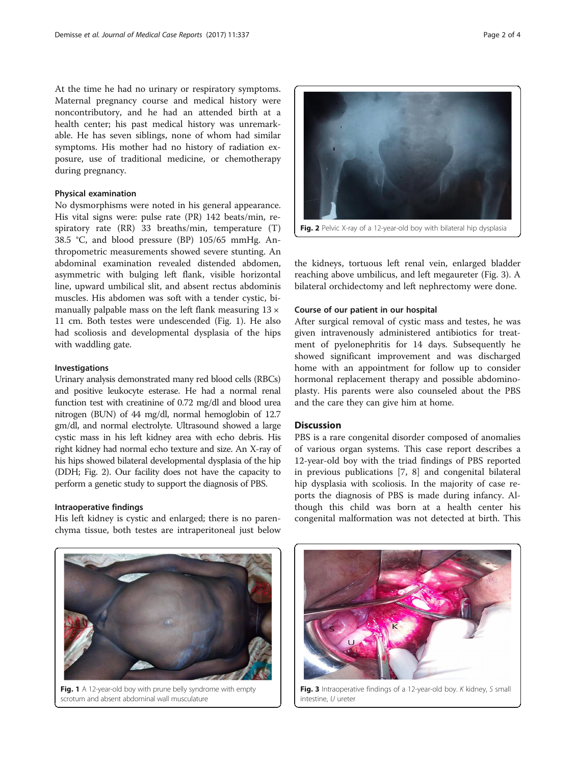At the time he had no urinary or respiratory symptoms. Maternal pregnancy course and medical history were noncontributory, and he had an attended birth at a health center; his past medical history was unremarkable. He has seven siblings, none of whom had similar symptoms. His mother had no history of radiation exposure, use of traditional medicine, or chemotherapy during pregnancy.

# Physical examination

No dysmorphisms were noted in his general appearance. His vital signs were: pulse rate (PR) 142 beats/min, respiratory rate (RR) 33 breaths/min, temperature (T) 38.5 °C, and blood pressure (BP) 105/65 mmHg. Anthropometric measurements showed severe stunting. An abdominal examination revealed distended abdomen, asymmetric with bulging left flank, visible horizontal line, upward umbilical slit, and absent rectus abdominis muscles. His abdomen was soft with a tender cystic, bimanually palpable mass on the left flank measuring  $13 \times$ 11 cm. Both testes were undescended (Fig. 1). He also had scoliosis and developmental dysplasia of the hips with waddling gate.

## Investigations

Urinary analysis demonstrated many red blood cells (RBCs) and positive leukocyte esterase. He had a normal renal function test with creatinine of 0.72 mg/dl and blood urea nitrogen (BUN) of 44 mg/dl, normal hemoglobin of 12.7 gm/dl, and normal electrolyte. Ultrasound showed a large cystic mass in his left kidney area with echo debris. His right kidney had normal echo texture and size. An X-ray of his hips showed bilateral developmental dysplasia of the hip (DDH; Fig. 2). Our facility does not have the capacity to perform a genetic study to support the diagnosis of PBS.

# Intraoperative findings

His left kidney is cystic and enlarged; there is no parenchyma tissue, both testes are intraperitoneal just below

Fig. 1 A 12-year-old boy with prune belly syndrome with empty scrotum and absent abdominal wall musculature

Fig. 3 Intraoperative findings of a 12-year-old boy. K kidney, S small intestine, U ureter



the kidneys, tortuous left renal vein, enlarged bladder reaching above umbilicus, and left megaureter (Fig. 3). A bilateral orchidectomy and left nephrectomy were done.

## Course of our patient in our hospital

After surgical removal of cystic mass and testes, he was given intravenously administered antibiotics for treatment of pyelonephritis for 14 days. Subsequently he showed significant improvement and was discharged home with an appointment for follow up to consider hormonal replacement therapy and possible abdominoplasty. His parents were also counseled about the PBS and the care they can give him at home.

#### **Discussion**

PBS is a rare congenital disorder composed of anomalies of various organ systems. This case report describes a 12-year-old boy with the triad findings of PBS reported in previous publications [\[7](#page-3-0), [8](#page-3-0)] and congenital bilateral hip dysplasia with scoliosis. In the majority of case reports the diagnosis of PBS is made during infancy. Although this child was born at a health center his congenital malformation was not detected at birth. This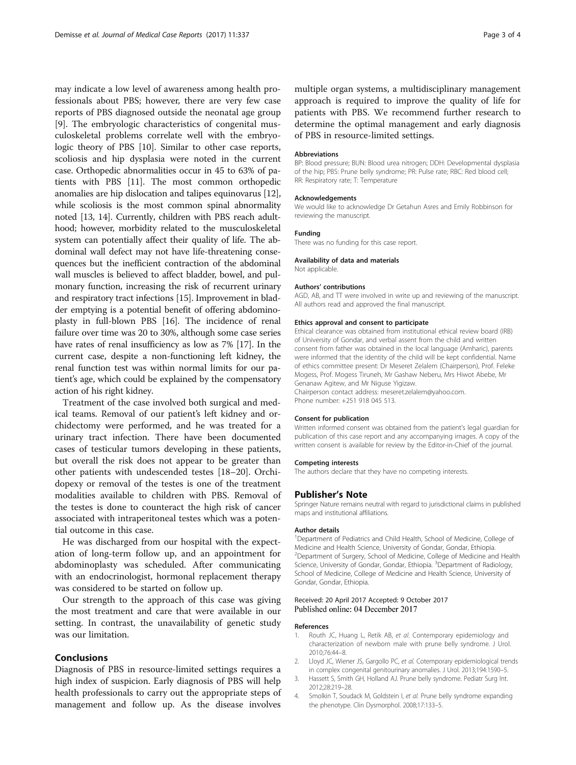<span id="page-2-0"></span>may indicate a low level of awareness among health professionals about PBS; however, there are very few case reports of PBS diagnosed outside the neonatal age group [[9\]](#page-3-0). The embryologic characteristics of congenital musculoskeletal problems correlate well with the embryologic theory of PBS [[10](#page-3-0)]. Similar to other case reports, scoliosis and hip dysplasia were noted in the current case. Orthopedic abnormalities occur in 45 to 63% of patients with PBS [[11\]](#page-3-0). The most common orthopedic anomalies are hip dislocation and talipes equinovarus [[12](#page-3-0)], while scoliosis is the most common spinal abnormality noted [\[13, 14](#page-3-0)]. Currently, children with PBS reach adulthood; however, morbidity related to the musculoskeletal system can potentially affect their quality of life. The abdominal wall defect may not have life-threatening consequences but the inefficient contraction of the abdominal wall muscles is believed to affect bladder, bowel, and pulmonary function, increasing the risk of recurrent urinary and respiratory tract infections [\[15\]](#page-3-0). Improvement in bladder emptying is a potential benefit of offering abdominoplasty in full-blown PBS [[16\]](#page-3-0). The incidence of renal failure over time was 20 to 30%, although some case series have rates of renal insufficiency as low as 7% [[17](#page-3-0)]. In the current case, despite a non-functioning left kidney, the renal function test was within normal limits for our patient's age, which could be explained by the compensatory action of his right kidney.

Treatment of the case involved both surgical and medical teams. Removal of our patient's left kidney and orchidectomy were performed, and he was treated for a urinary tract infection. There have been documented cases of testicular tumors developing in these patients, but overall the risk does not appear to be greater than other patients with undescended testes [\[18](#page-3-0)–[20\]](#page-3-0). Orchidopexy or removal of the testes is one of the treatment modalities available to children with PBS. Removal of the testes is done to counteract the high risk of cancer associated with intraperitoneal testes which was a potential outcome in this case.

He was discharged from our hospital with the expectation of long-term follow up, and an appointment for abdominoplasty was scheduled. After communicating with an endocrinologist, hormonal replacement therapy was considered to be started on follow up.

Our strength to the approach of this case was giving the most treatment and care that were available in our setting. In contrast, the unavailability of genetic study was our limitation.

# Conclusions

Diagnosis of PBS in resource-limited settings requires a high index of suspicion. Early diagnosis of PBS will help health professionals to carry out the appropriate steps of management and follow up. As the disease involves multiple organ systems, a multidisciplinary management approach is required to improve the quality of life for patients with PBS. We recommend further research to determine the optimal management and early diagnosis of PBS in resource-limited settings.

#### Abbreviations

BP: Blood pressure; BUN: Blood urea nitrogen; DDH: Developmental dysplasia of the hip; PBS: Prune belly syndrome; PR: Pulse rate; RBC: Red blood cell; RR: Respiratory rate; T: Temperature

#### Acknowledgements

We would like to acknowledge Dr Getahun Asres and Emily Robbinson for reviewing the manuscript.

#### Funding

There was no funding for this case report.

#### Availability of data and materials

Not applicable.

#### Authors' contributions

AGD, AB, and TT were involved in write up and reviewing of the manuscript. All authors read and approved the final manuscript.

#### Ethics approval and consent to participate

Ethical clearance was obtained from institutional ethical review board (IRB) of University of Gondar, and verbal assent from the child and written consent from father was obtained in the local language (Amharic), parents were informed that the identity of the child will be kept confidential. Name of ethics committee present: Dr Meseret Zelalem (Chairperson), Prof. Feleke Mogess, Prof. Mogess Tiruneh, Mr Gashaw Neberu, Mrs Hiwot Abebe, Mr Genanaw Agitew, and Mr Niguse Yigizaw. Chairperson contact address: meseret.zelalem@yahoo.com. Phone number: +251 918 045 513.

# Consent for publication

Written informed consent was obtained from the patient's legal guardian for publication of this case report and any accompanying images. A copy of the written consent is available for review by the Editor-in-Chief of the journal.

#### Competing interests

The authors declare that they have no competing interests.

#### Publisher's Note

Springer Nature remains neutral with regard to jurisdictional claims in published maps and institutional affiliations.

#### Author details

<sup>1</sup>Department of Pediatrics and Child Health, School of Medicine, College of Medicine and Health Science, University of Gondar, Gondar, Ethiopia. <sup>2</sup> Department of Surgery, School of Medicine, College of Medicine and Health Science, University of Gondar, Gondar, Ethiopia. <sup>3</sup>Department of Radiology, School of Medicine, College of Medicine and Health Science, University of Gondar, Gondar, Ethiopia.

#### Received: 20 April 2017 Accepted: 9 October 2017 Published online: 04 December 2017

#### References

- 1. Routh JC, Huang L, Retik AB, et al. Contemporary epidemiology and characterization of newborn male with prune belly syndrome. J Urol. 2010;76:44–8.
- 2. Lloyd JC, Wiener JS, Gargollo PC, et al. Cotemporary epidemiological trends in complex congenital genitourinary anomalies. J Urol. 2013;194:1590–5.
- 3. Hassett S, Smith GH, Holland AJ. Prune belly syndrome. Pediatr Surg Int. 2012;28:219–28.
- 4. Smolkin T, Soudack M, Goldstein I, et al. Prune belly syndrome expanding the phenotype. Clin Dysmorphol. 2008;17:133–5.